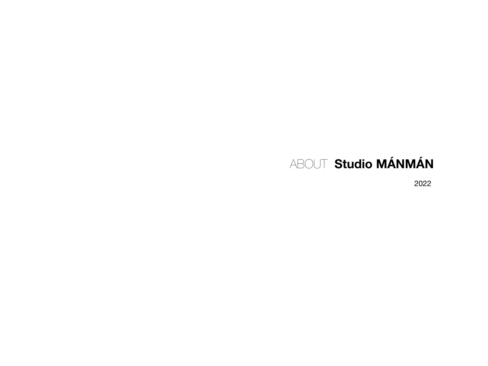# ABOUT Studio MÁNMÁN

2022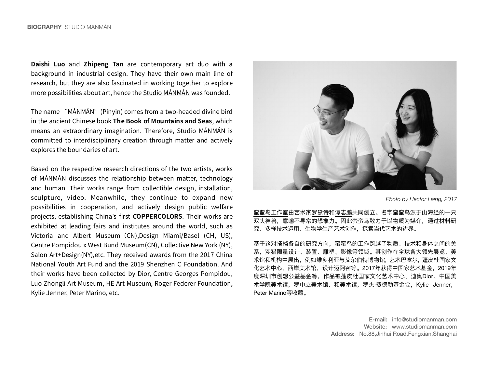**[Daishi Luo](https://www.studiomanman.com/daishi-luo)** and **[Zhipeng Tan](https://www.studiomanman.com/zhipeng-tan)** are contemporary art duo with a background in industrial design. They have their own main line of research, but they are also fascinated in working together to explore more possibilities about art, hence the Studio MÁNMÁN was founded.

The name "MÁNMÁN" (Pinyin) comes from a two-headed divine bird in the ancient Chinese book The Book of Mountains and Seas, which means an extraordinary imagination. Therefore, Studio MÁNMÁN is committed to interdisciplinary creation through matter and actively explores the boundaries of art.

Based on the respective research directions of the two artists, works of MÁNMÁN discusses the relationship between matter, technology and human. Their works range from collectible design, installation, sculpture, video. Meanwhile, they continue to expand new possibilities in cooperation, and actively design public welfare projects, establishing China's first **COPPERCOLORS**. Their works are exhibited at leading fairs and institutes around the world, such as Victoria and Albert Museum (CN),Design Miami/Basel (CH, US), Centre Pompidou x West Bund Museum(CN), Collective New York (NY), Salon Art+Design(NY), etc. They received awards from the 2017 China National Youth Art Fund and the 2019 Shenzhen C Foundation. And their works have been collected by Dior, Centre Georges Pompidou, Luo Zhongli Art Museum, HE Art Museum, Roger Federer Foundation, Kylie Jenner, Peter Marino, etc.



*Photo by Hector Liang, 2017*

蛮蛮鸟工作室由艺术家[罗黛诗](https://www.studiomanman.com/daishi-luo)[和谭志鹏共](https://www.studiomanman.com/zhipeng-tan)同创立。名字蛮蛮鸟源于山海经的一只 双头神兽,意喻不寻常的想象力。因此蛮蛮鸟致力于以物质为媒介,通过材料研 究、多样技术运⽤、⽣物学⽣产艺术创作,探索当代艺术的边界。

基于这对搭档各自的研究方向,蛮蛮鸟的工作跨越了物质、技术和身体之间的关 系,涉猎限量设计、装置、雕塑、影像等领域。其创作在全球各⼤领先展览、美 术馆和机构中展出,例如维多利亚与艾尔伯特博物馆,艺术巴塞尔,蓬皮杜国家文 化艺术中⼼,⻄岸美术馆, 设计迈阿密等。2017年获得中国家艺术基⾦,2019年 度深圳市创想公益基⾦等,作品被蓬⽪杜国家⽂化艺术中⼼、迪奥Dior、中国美 术学院美术馆,罗中立美术馆,和美术馆,罗杰·费德勒基金会, Kylie Jenner, Peter Marino等收藏。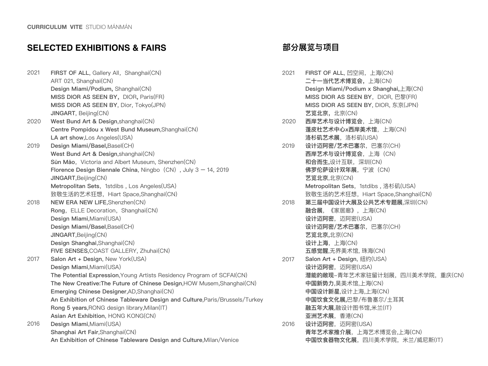#### **SELECTED EXHIBITIONS & FAIRS**

2021 2020 2019 2018 2017 2016 **FIRST OF ALL, Gallery All, Shanghai(CN)** ART 021, Shanghai(CN) **Design Miami/Podium,** Shanghai(CN) **MISS DIOR AS SEEN BY, DIOR, Paris(FR) MISS DIOR AS SEEN BY**, Dior, Tokyo(JPN) **JINGART**, Beijing(CN) West Bund Art & Design, shanghai(CN) **Centre Pompidou x West Bund Museum**,Shanghai(CN) **LA art show**,Los Angeles(USA) **Design Miami/Basel,**Basel(CH) **West Bund Art & Design**,shanghai(CN) Sǔn Mǎo, Victoria and Albert Museum, Shenzhen(CN) **Florence Design Biennale China, Ningbo (CN), July 3 – 14, 2019 JINGART**,Beijing(CN) **Metropolitan Sets, 1stdibs, Los Angeles(USA)** 致敬生活的艺术狂想, Hiart Space,Shanghai(CN) **NEW ERA NEW LIFE**,Shenzhen(CN) **Rong, ELLE Decoration, Shanghai(CN) Design Miami**,Miami(USA) **Design Miami/Basel**,Basel(CH) **JINGART**,Beijing(CN) **Design Shanghai**,Shanghai(CN) **FIVE SENSES**,COAST GALLERY, Zhuhai(CN) **Salon Art + Design**, New York(USA) **Design Miami**,Miami(USA) **The Potential Expression**,Young Artists Residency Program of SCFAI(CN) **The New Creative:The Future of Chinese Design**,HOW Musem,Shanghai(CN) **Emerging Chinese Designer**,AD,Shanghai(CN) **An Exhibition of Chinese Tableware Design and Culture**,Paris/Brussels/Turkey **Rong 5 years**,RONG design library,Milan(IT) **Asian Art Exhibition**, HONG KONG(CN) **Design Miami**,Miami(USA) **Shanghai Art Fair**,Shanghai(CN) **An Exhibition of Chinese Tableware Design and Culture**,Milan/Venice

#### **部分展览与项⽬**

| 2021 | FIRST OF ALL, 凹空间, 上海(CN)                 |
|------|-------------------------------------------|
|      | 二十一当代艺术博览会, 上海(CN)                        |
|      | Design Miami/Podium x Shanghai, 上海(CN)    |
|      | MISS DIOR AS SEEN BY, DIOR, 巴黎(FR)        |
|      | MISS DIOR AS SEEN BY, DIOR, 东京(JPN)       |
|      | 艺览北京, 北京(CN)                              |
| 2020 | 西岸艺术与设计博览会,上海(CN)                         |
|      | 蓬皮杜艺术中心x西岸美术馆,上海(CN)                      |
|      | 洛杉矶艺术展, 洛杉矶(USA)                          |
| 2019 | 设计迈阿密/艺术巴塞尔, 巴塞尔(CH)                      |
|      | 西岸艺术与设计博览会,上海(CN)                         |
|      | 和合而生,设计互联,深圳(CN)                          |
|      | 佛罗伦萨设计双年展, 宁波 (CN)                        |
|      | 艺览北京,北京(CN)                               |
|      | Metropolitan Sets, 1stdibs, 洛杉矶(USA)      |
|      | 致敬生活的艺术狂想, Hiart Space, Shanghai(CN)      |
| 2018 | 第三届中国设计大展及公共艺术专题展,深圳(CN)                  |
|      | 融合展, 《家居廊》, 上海(CN)                        |
|      | 设计迈阿密, 迈阿密(USA)                           |
|      | 设计迈阿密/艺术巴塞尔, 巴塞尔(CH)                      |
|      | 艺览北京,北京(CN)                               |
|      | 设计上海, 上海(CN)                              |
|      | 五感觉醒,无界美术馆, 珠海(CN)                        |
| 2017 | Salon Art + Design, 纽约(USA)               |
|      | 设计迈阿密, 迈阿密(USA)                           |
|      | 潜 <b>能的敞现</b> -青年艺术家驻留计划展, 四川美术学院, 重庆(CN) |
|      | <b>中国新势力</b> ,昊美术馆,上海(CN)                 |
|      | 中国设计新星,设计上海,上海(CN)                        |
|      | 中国饮食文化展,巴黎/布鲁塞尔/土耳其                       |
|      | 融五年大展,融设计图书馆,米兰(IT)                       |
|      | 亚洲艺术展,香港(CN)                              |
| 2016 | 设计迈阿密, 迈阿密(USA)                           |
|      | <b>青年艺术家推介展</b> ,上海艺术博览会,上海(CN)           |
|      | <b>中国饮食器物文化展</b> ,四川美术学院,米兰/威尼斯(IT)       |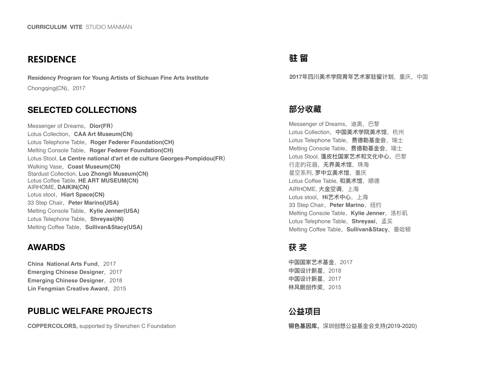## **RESIDENCE**

**Residency Program for Young Artists of Sichuan Fine Arts Institute**  Chongqing(CN), 2017

## **SELECTED COLLECTIONS**

Messenger of Dreams, Dior(FR) Lotus Collection,**CAA Art Museum(CN)** Lotus Telephone Table, Roger Federer Foundation(CH) Melting Console Table, Roger Federer Foundation(CH) Lotus Stool, **Le Centre national d'art et de culture Georges-Pompidou(FR)** Walking Vase,**Coast Museum(CN)** Stardust Collection, **Luo Zhongli Museum(CN)** Lotus Coffee Table, **HE ART MUSEUM(CN)** AIRHOME, **DAIKIN(CN)** Lotus stool, **Hiart Space(CN)** 33 Step Chair,**Peter Marino(USA)** Melting Console Table, Kylie Jenner(USA) Lotus Telephone Table, Shreyasi(IN) Melting Coffee Table, Sullivan&Stacy(USA)

### **AWARDS**

**China National Arts Fund, 2017 Emerging Chinese Designer, 2017 Emerging Chinese Designer, 2018 Lin Fengmian Creative Award, 2015** 

# **PUBLIC WELFARE PROJECTS**

**COPPERCOLORS,** supported by Shenzhen C Foundation

## **驻 留**

**2017年四川美术学院⻘年艺术家驻留计划**,重庆,中国

#### **部分收藏**

Messenger of Dreams, 迪奥, 巴黎 Lotus Collection, 中国美术学院美术馆, 杭州 Lotus Telephone Table, 费德勒基金会, 瑞士 Melting Console Table, 费德勒基金会, 瑞士 Lotus Stool, **蓬皮杜国家艺术和文化中心**, 巴黎 ⾏⾛的花器,**⽆界美术馆**,珠海 星空系列, **罗中⽴美术馆**,重庆 Lotus Coffee Table, **和美术馆**, 顺德 AIRHOME, **⼤⾦空调**,上海 Lotus stool, Hi艺术中心, 上海 33 Step Chair, Peter Marino, 纽约 Melting Console Table, Kylie Jenner, 洛杉矶 Lotus Telephone Table, Shreyasi, 孟买 Melting Coffee Table, Sullivan&Stacy, 曼哈顿

## **获 奖**

**中国国家艺术基⾦**,2017 中国设计新星, 2018 **中国设计新星**,2017 **林⻛眠创作奖**,2015

# **公益项⽬**

**铜色基因库,**深圳创想公益基金会支持(2019-2020)